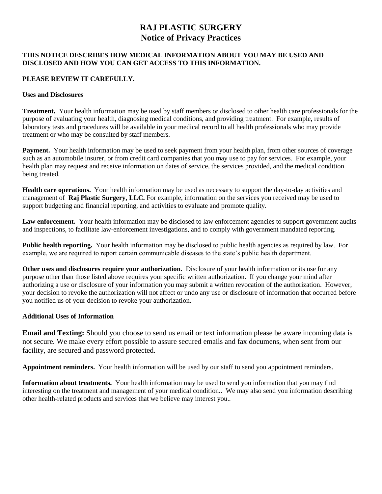# **RAJ PLASTIC SURGERY Notice of Privacy Practices**

# **THIS NOTICE DESCRIBES HOW MEDICAL INFORMATION ABOUT YOU MAY BE USED AND DISCLOSED AND HOW YOU CAN GET ACCESS TO THIS INFORMATION.**

# **PLEASE REVIEW IT CAREFULLY.**

# **Uses and Disclosures**

**Treatment.** Your health information may be used by staff members or disclosed to other health care professionals for the purpose of evaluating your health, diagnosing medical conditions, and providing treatment. For example, results of laboratory tests and procedures will be available in your medical record to all health professionals who may provide treatment or who may be consulted by staff members.

**Payment.** Your health information may be used to seek payment from your health plan, from other sources of coverage such as an automobile insurer, or from credit card companies that you may use to pay for services. For example, your health plan may request and receive information on dates of service, the services provided, and the medical condition being treated.

**Health care operations.** Your health information may be used as necessary to support the day-to-day activities and management of **Raj Plastic Surgery, LLC.** For example, information on the services you received may be used to support budgeting and financial reporting, and activities to evaluate and promote quality.

Law enforcement. Your health information may be disclosed to law enforcement agencies to support government audits and inspections, to facilitate law-enforcement investigations, and to comply with government mandated reporting.

**Public health reporting.** Your health information may be disclosed to public health agencies as required by law. For example, we are required to report certain communicable diseases to the state's public health department.

**Other uses and disclosures require your authorization.** Disclosure of your health information or its use for any purpose other than those listed above requires your specific written authorization. If you change your mind after authorizing a use or disclosure of your information you may submit a written revocation of the authorization. However, your decision to revoke the authorization will not affect or undo any use or disclosure of information that occurred before you notified us of your decision to revoke your authorization.

#### **Additional Uses of Information**

**Email and Texting:** Should you choose to send us email or text information please be aware incoming data is not secure. We make every effort possible to assure secured emails and fax documens, when sent from our facility, are secured and password protected.

**Appointment reminders.** Your health information will be used by our staff to send you appointment reminders.

**Information about treatments.** Your health information may be used to send you information that you may find interesting on the treatment and management of your medical condition.. We may also send you information describing other health-related products and services that we believe may interest you..